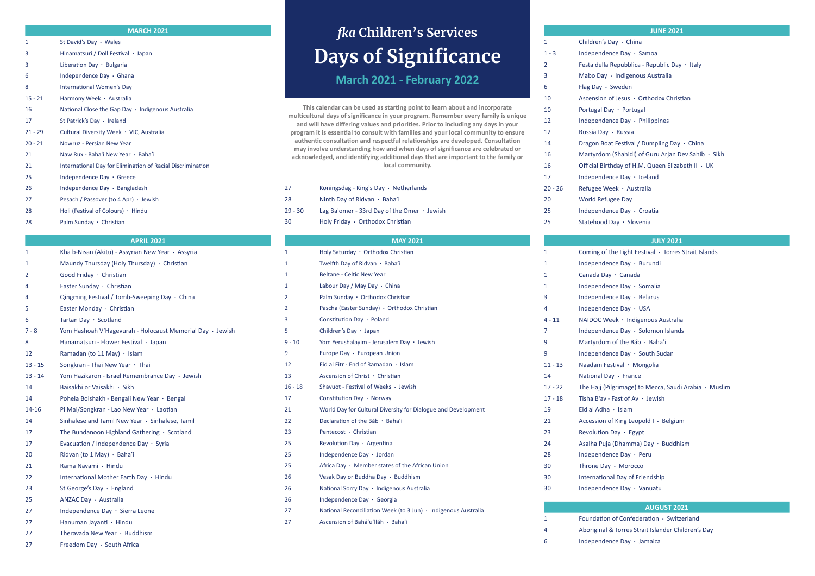# *fka* **Children's Services Days of Significance**

**March 2021 - February 2022**

**This calendar can be used as starting point to learn about and incorporate multicultural days of significance in your program. Remember every family is unique and will have differing values and priorities. Prior to including any days in your program it is essential to consult with families and your local community to ensure authentic consultation and respectful relationships are developed. Consultation may involve understanding how and when days of significance are celebrated or acknowledged, and identifying additional days that are important to the family or local community.**

#### **MARCH 2021**

| 1         | St David's Day $\cdot$ Wales                               |
|-----------|------------------------------------------------------------|
| 3         | Hinamatsuri / Doll Festival · Japan                        |
| 3         | Liberation Day $\cdot$ Bulgaria                            |
| 6         | Independence Day $\cdot$ Ghana                             |
| 8         | International Women's Day                                  |
| $15 - 21$ | Harmony Week · Australia                                   |
| 16        | National Close the Gap Day $\cdot$ Indigenous Australia    |
| 17        | St Patrick's Day · Ireland                                 |
| $21 - 29$ | Cultural Diversity Week · VIC, Australia                   |
| $20 - 21$ | Nowruz - Persian New Year                                  |
| 21        | Naw Rux - Baha'i New Year • Baha'i                         |
| 21        | International Day for Elimination of Racial Discrimination |
| 25        | Independence Day · Greece                                  |
| 26        | Independence Day $\cdot$ Bangladesh                        |
| 27        | Pesach / Passover (to 4 Apr) $\cdot$ Jewish                |
| 28        | Holi (Festival of Colours) $\cdot$ Hindu                   |
| 28        | Palm Sunday $\cdot$ Christian                              |

#### **APRIL 2021**

| 1         | Kha b-Nisan (Akitu) - Assyrian New Year · Assyria         |
|-----------|-----------------------------------------------------------|
| 1         | Maundy Thursday (Holy Thursday) • Christian               |
| 2         | Good Friday · Christian                                   |
| 4         | Easter Sunday · Christian                                 |
| 4         | Qingming Festival / Tomb-Sweeping Day $\cdot$ China       |
| 5         | Easter Monday · Christian                                 |
| 6         | Tartan Day · Scotland                                     |
| $7 - 8$   | Yom Hashoah V'Hagevurah - Holocaust Memorial Day · Jewish |
| 8         | Hanamatsuri - Flower Festival · Japan                     |
| 12        | Ramadan (to 11 May) $\cdot$ Islam                         |
| $13 - 15$ | Songkran - Thai New Year · Thai                           |
| $13 - 14$ | Yom Hazikaron - Israel Remembrance Day · Jewish           |
| 14        | Baisakhi or Vaisakhi · Sikh                               |
| 14        | Pohela Boishakh - Bengali New Year · Bengal               |
| 14-16     | Pi Mai/Songkran - Lao New Year · Laotian                  |
| 14        | Sinhalese and Tamil New Year · Sinhalese, Tamil           |
| 17        | The Bundanoon Highland Gathering · Scotland               |
| 17        | Evacuation / Independence Day $\cdot$ Syria               |
| 20        | Ridvan (to 1 May) · Baha'i                                |
| 21        | Rama Navami · Hindu                                       |
| 22        | International Mother Earth Day · Hindu                    |
| 23        | St George's Day · England                                 |
| 25        | ANZAC Day · Australia                                     |
| 27        | Independence Day · Sierra Leone                           |
| 27        | Hanuman Jayanti · Hindu                                   |
| 27        | Theravada New Year · Buddhism                             |
| 27        | Freedom Day · South Africa                                |

| 27      | Koningsdag - King's Day $\cdot$ Netherlands       |
|---------|---------------------------------------------------|
| 28      | Ninth Day of Ridvan $\cdot$ Baha'i                |
| 29 - 30 | Lag Ba'omer - 33rd Day of the Omer $\cdot$ Jewish |
| 30      | Holy Friday · Orthodox Christian                  |
|         |                                                   |

of Confederation · Switzerland Aboriginal & Torres Strait Islander Children's Day Independence Day **.** Jamaica

# **MAY 2021**

| 1         | Holy Saturday · Orthodox Christian                             | 1              | Coming of th        |
|-----------|----------------------------------------------------------------|----------------|---------------------|
| 1         | Twelfth Day of Ridvan · Baha'i                                 | $\mathbf{1}$   | Independenc         |
| 1         | <b>Beltane - Celtic New Year</b>                               | $\mathbf{1}$   | Canada Day          |
| 1         | Labour Day / May Day · China                                   | $\mathbf{1}$   | Independenc         |
| 2         | Palm Sunday · Orthodox Christian                               | 3              | Independenc         |
| 2         | Pascha (Easter Sunday) · Orthodox Christian                    | 4              | Independenc         |
| 3         | Constitution Day · Poland                                      | $4 - 11$       | <b>NAIDOC Wee</b>   |
| 5         | Children's Day · Japan                                         | $\overline{7}$ | Independenc         |
| $9 - 10$  | Yom Yerushalayim - Jerusalem Day · Jewish                      | 9              | Martyrdom c         |
| 9         | Europe Day · European Union                                    | 9              | Independenc         |
| 12        | Eid al Fitr - End of Ramadan · Islam                           | $11 - 13$      | <b>Naadam Fest</b>  |
| 13        | Ascension of Christ · Christian                                | 14             | <b>National Day</b> |
| $16 - 18$ | Shavuot - Festival of Weeks · Jewish                           | $17 - 22$      | The Hajj (Pilg      |
| 17        | Constitution Day · Norway                                      | $17 - 18$      | Tisha B'av - F      |
| 21        | World Day for Cultural Diversity for Dialogue and Development  | 19             | Eid al Adha ·       |
| 22        | Declaration of the Báb · Baha'i                                | 21             | Accession of        |
| 23        | Pentecost · Christian                                          | 23             | <b>Revolution D</b> |
| 25        | Revolution Day · Argentina                                     | 24             | Asalha Puja (       |
| 25        | Independence Day · Jordan                                      | 28             | Independenc         |
| 25        | Africa Day · Member states of the African Union                | 30             | Throne Day .        |
| 26        | Vesak Day or Buddha Day · Buddhism                             | 30             | International       |
| 26        | National Sorry Day · Indigenous Australia                      | 30             | Independenc         |
| 26        | Independence Day · Georgia                                     |                |                     |
| 27        | National Reconciliation Week (to 3 Jun) · Indigenous Australia |                |                     |
| 27        | Ascension of Bahá'u'lláh · Baha'i                              | 1              | Foundation o        |

#### **JUNE 2021**

 Festa della Repubblica - Republic Day **.** Italy Ascension of Jesus **.** Orthodox Christian Dragon Boat Festival / Dumpling Day **.** China Martyrdom (Shahidi) of Guru Arjan Dev Sahib **.** Sikh Official Birthday of H.M. Queen Elizabeth II **.** UK

|                | <b>JUNE 2</b>                       |
|----------------|-------------------------------------|
| 1              | Children's Day $\cdot$ China        |
| $1 - 3$        | Independence Day · Samoa            |
| $\overline{2}$ | Festa della Repubblica - Republic I |
| 3              | Mabo Day · Indigenous Australia     |
| 6              | Flag Day $\cdot$ Sweden             |
| 10             | Ascension of Jesus · Orthodox Ch    |
| 10             | Portugal Day · Portugal             |
| 12             | Independence Day · Philippines      |
| 12             | Russia Day · Russia                 |
| 14             | Dragon Boat Festival / Dumpling D   |
| 16             | Martyrdom (Shahidi) of Guru Arja    |
| 16             | Official Birthday of H.M. Queen El  |
| 17             | Independence Day $\cdot$ Iceland    |
| $20 - 26$      | Refugee Week · Australia            |
| 20             | <b>World Refugee Day</b>            |
| 25             | Independence Day · Croatia          |
| 25             | Statehood Day · Slovenia            |
|                |                                     |

# **JULY 2021**

1e Light Festival **·** Torres Strait Islands ce Day **·** Burundi Canada Day **.** Canada ce Day **·** Somalia ce Day **·** Belarus ce Day · USA ek · Indigenous Australia Independence Day **.** Solomon Islands of the Báb · Baha'i ce Day **·** South Sudan tival · Mongolia  $\cdot$  France 17 - 22 The Hajj (Pilgrimage) to Mecca, Saudi Arabia **.** Muslim Fast of Av · Jewish **Islam** <sup>2</sup> King Leopold I **·** Belgium  $\log \cdot$  Egypt Asalha Puja (Dhamma) Day **.** Buddhism Independence Day **.** Peru Morocco Day of Friendship ce Day **·** Vanuatu

### **AUGUST 2021**